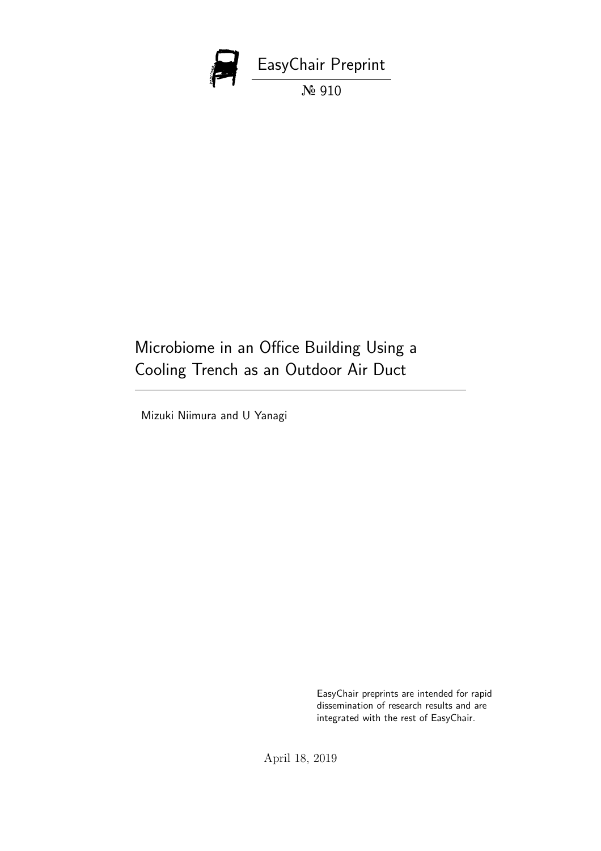

# Microbiome in an Office Building Using a Cooling Trench as an Outdoor Air Duct

Mizuki Niimura and U Yanagi

EasyChair preprints are intended for rapid dissemination of research results and are integrated with the rest of EasyChair.

April 18, 2019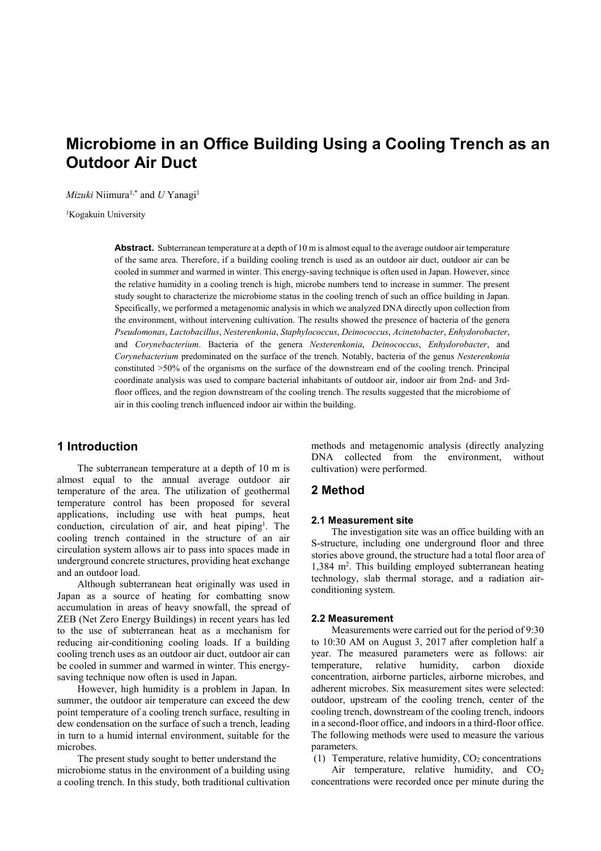## Microbiome in an Office Building Using a Cooling Trench as an Outdoor Air Duct

*Mizuki* Niimura<sup>1,\*</sup> and *U* Yanagi<sup>1</sup>

<sup>1</sup>Kogakuin University

Abstract. Subterranean temperature at a depth of 10 m is almost equal to the average outdoor air temperature of the same area. Therefore, if a building cooling trench is used as an outdoor air duct, outdoor air can be cooled in summer and warmed in winter. This energy-saving technique is often used in Japan. However, since the relative humidity in a cooling trench is high, microbe numbers tend to increase in summer. The present study sought to characterize the microbiome status in the cooling trench of such an office building in Japan. Specifically, we performed a metagenomic analysis in which we analyzed DNA directly upon collection from the environment, without intervening cultivation. The results showed the presence of bacteria of the genera Pseudomonas, Lactobacillus, Nesterenkonia, Staphylococcus, Deinococcus, Acinetobacter, Enhydorobacter, and Corynebacterium. Bacteria of the genera Nesterenkonia, Deinococcus, Enhydorobacter, and Corynebacterium predominated on the surface of the trench. Notably, bacteria of the genus Nesterenkonia constituted >50% of the organisms on the surface of the downstream end of the cooling trench. Principal coordinate analysis was used to compare bacterial inhabitants of outdoor air, indoor air from 2nd- and 3rdfloor offices, and the region downstream of the cooling trench. The results suggested that the microbiome of air in this cooling trench influenced indoor air within the building.

## 1 Introduction

The subterranean temperature at a depth of 10 m is almost equal to the annual average outdoor air temperature of the area. The utilization of geothermal temperature control has been proposed for several applications, including use with heat pumps, heat conduction, circulation of air, and heat piping<sup>1</sup>. The cooling trench contained in the structure of an air circulation system allows air to pass into spaces made in underground concrete structures, providing heat exchange and an outdoor load.

Although subterranean heat originally was used in Japan as a source of heating for combatting snow accumulation in areas of heavy snowfall, the spread of ZEB (Net Zero Energy Buildings) in recent years has led to the use of subterranean heat as a mechanism for reducing air-conditioning cooling loads. If a building cooling trench uses as an outdoor air duct, outdoor air can be cooled in summer and warmed in winter. This energysaving technique now often is used in Japan.

However, high humidity is a problem in Japan. In summer, the outdoor air temperature can exceed the dew point temperature of a cooling trench surface, resulting in dew condensation on the surface of such a trench, leading in turn to a humid internal environment, suitable for the microbes.

The present study sought to better understand the microbiome status in the environment of a building using a cooling trench. In this study, both traditional cultivation

methods and metagenomic analysis (directly analyzing DNA collected from the environment, without cultivation) were performed.

## 2 Method

### 2.1 Measurement site

The investigation site was an office building with an S-structure, including one underground floor and three stories above ground, the structure had a total floor area of 1,384 m<sup>2</sup>. This building employed subterranean heating technology, slab thermal storage, and a radiation airconditioning system.

#### 2.2 Measurement

Measurements were carried out for the period of 9:30 to 10:30 AM on August 3, 2017 after completion half a year. The measured parameters were as follows: air temperature, relative humidity, carbon dioxide concentration, airborne particles, airborne microbes, and adherent microbes. Six measurement sites were selected: outdoor, upstream of the cooling trench, center of the cooling trench, downstream of the cooling trench, indoors in a second-floor office, and indoors in a third-floor office. The following methods were used to measure the various parameters.

(1) Temperature, relative humidity,  $CO<sub>2</sub>$  concentrations

Air temperature, relative humidity, and  $CO<sub>2</sub>$ concentrations were recorded once per minute during the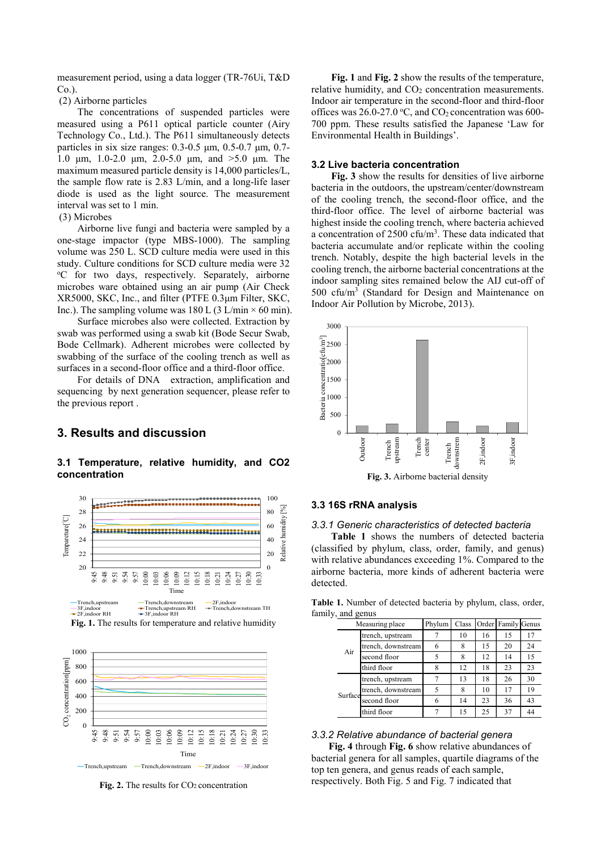measurement period, using a data logger (TR-76Ui, T&D Co.).

(2) Airborne particles

The concentrations of suspended particles were measured using a P611 optical particle counter (Airy Technology Co., Ltd.). The P611 simultaneously detects particles in six size ranges: 0.3-0.5 μm, 0.5-0.7 μm, 0.7- 1.0 μm, 1.0-2.0 μm, 2.0-5.0 μm, and >5.0 μm. The maximum measured particle density is 14,000 particles/L, the sample flow rate is 2.83 L/min, and a long-life laser diode is used as the light source. The measurement interval was set to 1 min.

#### (3) Microbes

Airborne live fungi and bacteria were sampled by a one-stage impactor (type MBS-1000). The sampling volume was 250 L. SCD culture media were used in this study. Culture conditions for SCD culture media were 32 <sup>o</sup>C for two days, respectively. Separately, airborne microbes ware obtained using an air pump (Air Check XR5000, SKC, Inc., and filter (PTFE 0.3μm Filter, SKC, Inc.). The sampling volume was 180 L (3 L/min  $\times$  60 min).

Surface microbes also were collected. Extraction by swab was performed using a swab kit (Bode Secur Swab, Bode Cellmark). Adherent microbes were collected by swabbing of the surface of the cooling trench as well as surfaces in a second-floor office and a third-floor office.

For details of DNA extraction, amplification and sequencing by next generation sequencer, please refer to the previous report .

## 3. Results and discussion

3.1 Temperature, relative humidity, and CO2 concentration



Fig. 1. The results for temperature and relative humidity



Fig. 2. The results for CO<sub>2</sub> concentration

Fig. 1 and Fig. 2 show the results of the temperature, relative humidity, and  $CO<sub>2</sub>$  concentration measurements. Indoor air temperature in the second-floor and third-floor offices was 26.0-27.0 °C, and  $CO_2$  concentration was 600-700 ppm. These results satisfied the Japanese 'Law for Environmental Health in Buildings'.

#### 3.2 Live bacteria concentration

Fig. 3 show the results for densities of live airborne bacteria in the outdoors, the upstream/center/downstream of the cooling trench, the second-floor office, and the third-floor office. The level of airborne bacterial was highest inside the cooling trench, where bacteria achieved a concentration of 2500 cfu/m<sup>3</sup>. These data indicated that bacteria accumulate and/or replicate within the cooling trench. Notably, despite the high bacterial levels in the cooling trench, the airborne bacterial concentrations at the indoor sampling sites remained below the AIJ cut-off of 500 cfu/m<sup>3</sup> (Standard for Design and Maintenance on Indoor Air Pollution by Microbe, 2013).



#### $^{100}$   $_{\odot}$  3.3 16S rRNA analysis  $80 \tbinom{8}{1}$

#### 3.3.1 Generic characteristics of detected bacteria 60

 $\frac{1}{20}$  Table 1 shows the numbers of detected bacteria (classified by phylum, class, order, family, and genus)  $\frac{3}{20}$  and  $\frac{3}{20}$  with relative abundances exceeding 1%. Compared to the <sup>0</sup> airborne bacteria, more kinds of adherent bacteria were detected.

| $\Omega$                                                                                                                                                                                                                                                                                                                                 |                                    |             |                     |           |                          |          |
|------------------------------------------------------------------------------------------------------------------------------------------------------------------------------------------------------------------------------------------------------------------------------------------------------------------------------------------|------------------------------------|-------------|---------------------|-----------|--------------------------|----------|
|                                                                                                                                                                                                                                                                                                                                          |                                    |             |                     |           |                          |          |
| Outdoor<br>Trench                                                                                                                                                                                                                                                                                                                        | apstream<br>Trench<br>center       |             | Trench<br>downstrem | 2F,indoor | 3F,indoor                |          |
|                                                                                                                                                                                                                                                                                                                                          | Fig. 3. Airborne bacterial density |             |                     |           |                          |          |
| <b>16S rRNA analysis</b>                                                                                                                                                                                                                                                                                                                 |                                    |             |                     |           |                          |          |
| 1 Generic characteristics of detected bacteria<br>Table 1 shows the numbers of detected bacteria<br>sified by phylum, class, order, family, and genus)<br>relative abundances exceeding 1%. Compared to the<br>orne bacteria, more kinds of adherent bacteria were<br>cted.<br>e 1. Number of detected bacteria by phylum, class, order, |                                    |             |                     |           |                          |          |
| ly, and genus                                                                                                                                                                                                                                                                                                                            |                                    |             | Class               |           |                          |          |
| Measuring place<br>trench, upstream                                                                                                                                                                                                                                                                                                      |                                    | Phylum<br>7 | 10                  | 16        | Order Family Genus<br>15 | 17       |
|                                                                                                                                                                                                                                                                                                                                          | trench, downstream                 | 6           | 8                   | 15        | 20                       | 24       |
|                                                                                                                                                                                                                                                                                                                                          |                                    |             |                     |           |                          |          |
| Air<br>second floor                                                                                                                                                                                                                                                                                                                      |                                    | 5           | 8                   | 12        | 14                       | 15       |
| third floor                                                                                                                                                                                                                                                                                                                              |                                    | 8           | 12                  | 18        | 23                       | 23       |
| trench, upstream                                                                                                                                                                                                                                                                                                                         |                                    | 7           | 13                  | 18        | 26                       | 30       |
|                                                                                                                                                                                                                                                                                                                                          | trench, downstream                 | 5           | 8                   | 10        | 17                       | 19       |
| Surface<br>second floor<br>third floor                                                                                                                                                                                                                                                                                                   |                                    | 6           | 14                  | 23        | 36                       | 43<br>44 |

famil

#### 3.3.2 Relative abundance of bacterial genera

 Fig. 4 through Fig. 6 show relative abundances of bacterial genera for all samples, quartile diagrams of the Time Trench,upstream — Trench,downstream — 2F,indoor — 3F,indoor top ten genera, and genus reads of each sample, respectively. Both Fig. 5 and Fig. 7 indicated that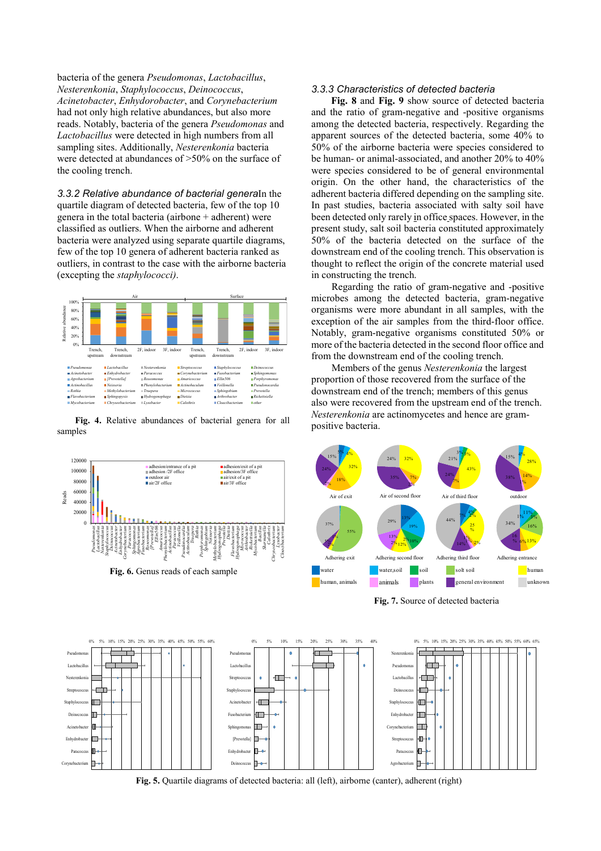bacteria of the genera Pseudomonas, Lactobacillus, Nesterenkonia, Staphylococcus, Deinococcus, Acinetobacter, Enhydorobacter, and Corynebacterium had not only high relative abundances, but also more reads. Notably, bacteria of the genera Pseudomonas and Lactobacillus were detected in high numbers from all sampling sites. Additionally, Nesterenkonia bacteria were detected at abundances of >50% on the surface of the cooling trench.

3.3.2 Relative abundance of bacterial generaIn the quartile diagram of detected bacteria, few of the top 10 genera in the total bacteria (airbone  $+$  adherent) were classified as outliers. When the airborne and adherent bacteria were analyzed using separate quartile diagrams, few of the top 10 genera of adherent bacteria ranked as outliers, in contrast to the case with the airborne bacteria (excepting the staphylococci).



Fig. 4. Relative abundances of bacterial genera for all samples

#### 3.3.3 Characteristics of detected bacteria

Fig. 8 and Fig. 9 show source of detected bacteria and the ratio of gram-negative and -positive organisms among the detected bacteria, respectively. Regarding the apparent sources of the detected bacteria, some 40% to 50% of the airborne bacteria were species considered to be human- or animal-associated, and another 20% to 40% were species considered to be of general environmental origin. On the other hand, the characteristics of the adherent bacteria differed depending on the sampling site. In past studies, bacteria associated with salty soil have been detected only rarely in office spaces. However, in the present study, salt soil bacteria constituted approximately 50% of the bacteria detected on the surface of the downstream end of the cooling trench. This observation is thought to reflect the origin of the concrete material used in constructing the trench. Apple Concor Course, Defined Contribution of the color spectral contribution of the particle of the particle of the general Psectric Concerns and the ratio of gram-negative and positive organisation defected by experiment suction of the general *Paculamonas, Lactabacillos*.<br> *convolution case, Demonstrates (Stephen Convolution Comprehensives, the convolution of the same*  $\frac{1}{2}$  *convolution of the same of the same in the same of the same* 

Regarding the ratio of gram-negative and -positive microbes among the detected bacteria, gram-negative  $\frac{1}{100}$   $\frac{1}{100}$   $\frac{1}{100}$   $\frac{1}{100}$  organisms were more abundant in all samples, with the  $e^{i\omega t}$  **and**  $e^{i\omega t}$  **are all the air samples from the third-floor office.** Notably, gram-negative organisms constituted 50% or 20%  $\frac{1}{2}$  more of the bacteria detected in the second floor office and

> Members of the genus Nesterenkonia the largest proportion of those recovered from the surface of the downstream end of the trench; members of this genus also were recovered from the upstream end of the trench. Nesterenkonia are actinomycetes and hence are grampositive bacteria.



Fig. 7. Source of detected bacteria



Fig. 5. Quartile diagrams of detected bacteria: all (left), airborne (canter), adherent (right)